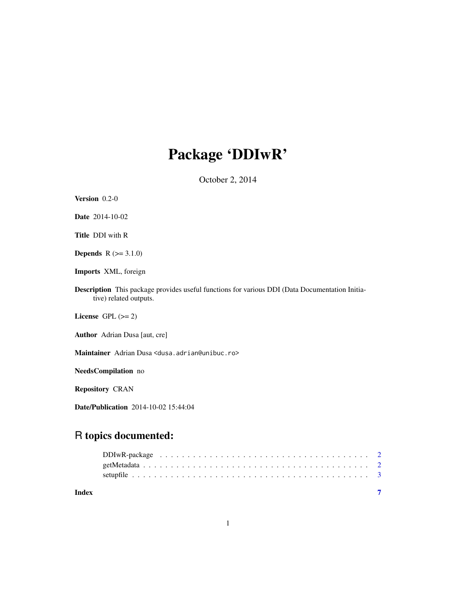## Package 'DDIwR'

October 2, 2014

| Version 0.2-0                                                                                                                   |
|---------------------------------------------------------------------------------------------------------------------------------|
| <b>Date</b> 2014-10-02                                                                                                          |
| <b>Title DDI</b> with R                                                                                                         |
| <b>Depends</b> $R (=3.1.0)$                                                                                                     |
| Imports XML, foreign                                                                                                            |
| <b>Description</b> This package provides useful functions for various DDI (Data Documentation Initia-<br>tive) related outputs. |
| License $GPL (= 2)$                                                                                                             |
| <b>Author</b> Adrian Dusa [aut, cre]                                                                                            |
| Maintainer Adrian Dusa <dusa.adrian@unibuc.ro></dusa.adrian@unibuc.ro>                                                          |
| NeedsCompilation no                                                                                                             |
| <b>Repository CRAN</b>                                                                                                          |
|                                                                                                                                 |

Date/Publication 2014-10-02 15:44:04

### R topics documented:

| Index |  |
|-------|--|
|       |  |
|       |  |
|       |  |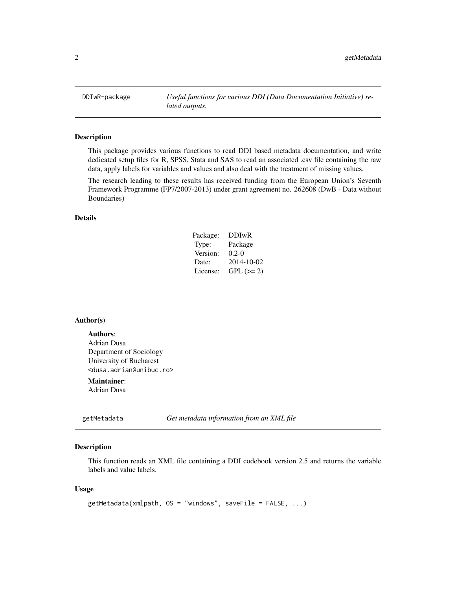<span id="page-1-0"></span>DDIwR-package *Useful functions for various DDI (Data Documentation Initiative) related outputs.*

#### Description

This package provides various functions to read DDI based metadata documentation, and write dedicated setup files for R, SPSS, Stata and SAS to read an associated .csv file containing the raw data, apply labels for variables and values and also deal with the treatment of missing values.

The research leading to these results has received funding from the European Union's Seventh Framework Programme (FP7/2007-2013) under grant agreement no. 262608 (DwB - Data without Boundaries)

#### Details

| Package: | <b>DDIwR</b> |
|----------|--------------|
| Type:    | Package      |
| Version: | $0.2 - 0$    |
| Date:    | 2014-10-02   |
| License: | $GPL (=2)$   |

#### Author(s)

Authors: Adrian Dusa Department of Sociology University of Bucharest <dusa.adrian@unibuc.ro>

### Maintainer:

Adrian Dusa

getMetadata *Get metadata information from an XML file*

#### Description

This function reads an XML file containing a DDI codebook version 2.5 and returns the variable labels and value labels.

#### Usage

```
getMetadata(xmlpath, OS = "windows", saveFile = FALSE, ...)
```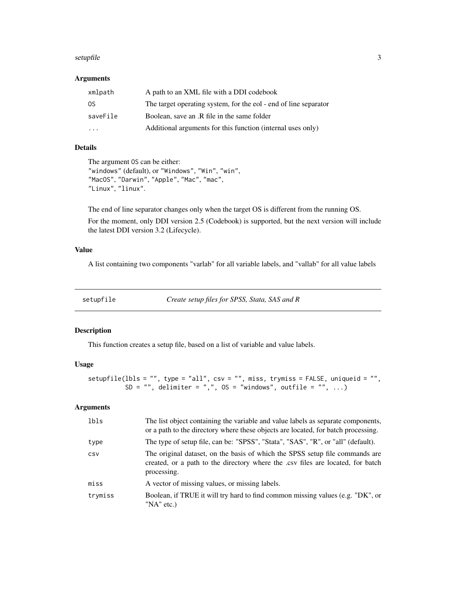#### <span id="page-2-0"></span>setupfile 3

#### Arguments

| xmlpath                 | A path to an XML file with a DDI codebook                        |
|-------------------------|------------------------------------------------------------------|
| -OS                     | The target operating system, for the eol - end of line separator |
| saveFile                | Boolean, save an .R file in the same folder                      |
| $\cdot$ $\cdot$ $\cdot$ | Additional arguments for this function (internal uses only)      |

#### Details

The argument OS can be either: "windows" (default), or "Windows", "Win", "win", "MacOS", "Darwin", "Apple", "Mac", "mac", "Linux", "linux".

The end of line separator changes only when the target OS is different from the running OS. For the moment, only DDI version 2.5 (Codebook) is supported, but the next version will include the latest DDI version 3.2 (Lifecycle).

#### Value

A list containing two components "varlab" for all variable labels, and "vallab" for all value labels

setupfile *Create setup files for SPSS, Stata, SAS and R*

#### Description

This function creates a setup file, based on a list of variable and value labels.

#### Usage

```
setupfile(lbls = "", type = "all", csv = "", miss, trymiss = FALSE, uniqueid = "",
         SD = ", delimiter = ",, OS = "windows", outfile = ", ...)
```
#### Arguments

| lbls    | The list object containing the variable and value labels as separate components,<br>or a path to the directory where these objects are located, for batch processing.          |
|---------|--------------------------------------------------------------------------------------------------------------------------------------------------------------------------------|
| type    | The type of setup file, can be: "SPSS", "Stata", "SAS", "R", or "all" (default).                                                                                               |
| CSV     | The original dataset, on the basis of which the SPSS setup file commands are<br>created, or a path to the directory where the .csv files are located, for batch<br>processing. |
| miss    | A vector of missing values, or missing labels.                                                                                                                                 |
| trymiss | Boolean, if TRUE it will try hard to find common missing values (e.g. "DK", or<br>"NA" etc.)                                                                                   |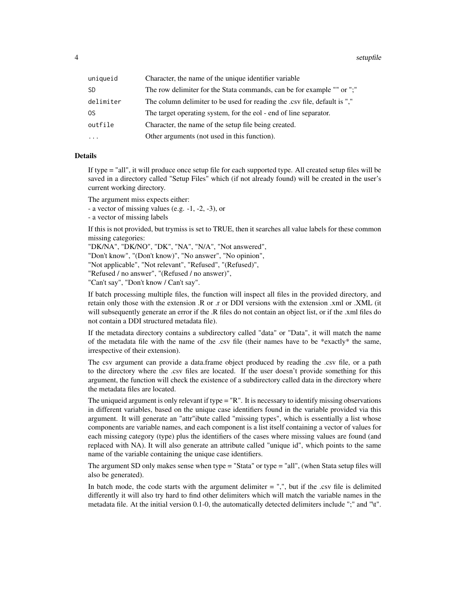4 setupfile that the setup of the setup of the setup of the setup of the setup of the setup of the setup of the setup of the setup of the setup of the setup of the setup of the setup of the setup of the setup of the setup

| Character, the name of the unique identifier variable                     |
|---------------------------------------------------------------------------|
| The row delimiter for the Stata commands, can be for example "" or ";"    |
| The column delimiter to be used for reading the .csv file, default is "," |
| The target operating system, for the eol - end of line separator.         |
| Character, the name of the setup file being created.                      |
| Other arguments (not used in this function).                              |
|                                                                           |

#### Details

If type = "all", it will produce once setup file for each supported type. All created setup files will be saved in a directory called "Setup Files" which (if not already found) will be created in the user's current working directory.

The argument miss expects either:

- a vector of missing values (e.g. -1, -2, -3), or

- a vector of missing labels

If this is not provided, but trymiss is set to TRUE, then it searches all value labels for these common missing categories:

"DK/NA", "DK/NO", "DK", "NA", "N/A", "Not answered", "Don't know", "(Don't know)", "No answer", "No opinion", "Not applicable", "Not relevant", "Refused", "(Refused)", "Refused / no answer", "(Refused / no answer)", "Can't say", "Don't know / Can't say".

If batch processing multiple files, the function will inspect all files in the provided directory, and retain only those with the extension .R or .r or DDI versions with the extension .xml or .XML (it will subsequently generate an error if the .R files do not contain an object list, or if the .xml files do not contain a DDI structured metadata file).

If the metadata directory contains a subdirectory called "data" or "Data", it will match the name of the metadata file with the name of the .csv file (their names have to be \*exactly\* the same, irrespective of their extension).

The csv argument can provide a data.frame object produced by reading the .csv file, or a path to the directory where the .csv files are located. If the user doesn't provide something for this argument, the function will check the existence of a subdirectory called data in the directory where the metadata files are located.

The uniqueid argument is only relevant if type = "R". It is necessary to identify missing observations in different variables, based on the unique case identifiers found in the variable provided via this argument. It will generate an "attr"ibute called "missing types", which is essentially a list whose components are variable names, and each component is a list itself containing a vector of values for each missing category (type) plus the identifiers of the cases where missing values are found (and replaced with NA). It will also generate an attribute called "unique id", which points to the same name of the variable containing the unique case identifiers.

The argument SD only makes sense when type = "Stata" or type = "all", (when Stata setup files will also be generated).

In batch mode, the code starts with the argument delimiter  $=$  ",", but if the .csv file is delimited differently it will also try hard to find other delimiters which will match the variable names in the metadata file. At the initial version 0.1-0, the automatically detected delimiters include ";" and "\t".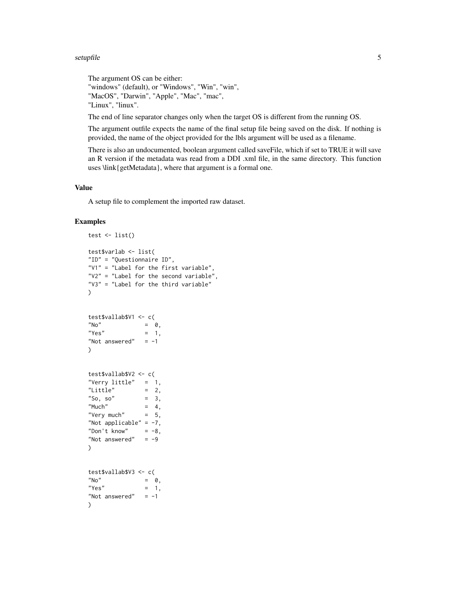#### setupfile 55 Setuphile 55 Setuphile 55 Setuphile 55 Setuphile 55 Setuphile 55 Setuphile 55 Setuphile 55 Setup

```
The argument OS can be either:
"windows" (default), or "Windows", "Win", "win",
"MacOS", "Darwin", "Apple", "Mac", "mac",
"Linux", "linux".
```
The end of line separator changes only when the target OS is different from the running OS.

The argument outfile expects the name of the final setup file being saved on the disk. If nothing is provided, the name of the object provided for the lbls argument will be used as a filename.

There is also an undocumented, boolean argument called saveFile, which if set to TRUE it will save an R version if the metadata was read from a DDI .xml file, in the same directory. This function uses \link{getMetadata}, where that argument is a formal one.

#### Value

A setup file to complement the imported raw dataset.

#### Examples

```
test \leftarrow list()
test$varlab <- list(
"ID" = "Questionnaire ID",
"V1" = "Label for the first variable",
"V2" = "Label for the second variable",
"V3" = "Label for the third variable"
\lambdatest$vallab$V1 <- c(
N^{\prime} No" = 0,
"Yes" = 1,
"Not answered" = -1\lambdatest$vallab$V2 <- c(
"Verry little" = 1,
"Little" = 2,
"So, so" = 3,
"Much" = 4,"Very much" = 5,
"Not applicable" = -7,
"Don't know" = -8,
"Not answered" = -9)
test$vallab$V3 <- c(
N^{\prime} No" = 0,
"Yes" = 1,
"Not answered" = -1\mathcal{L}
```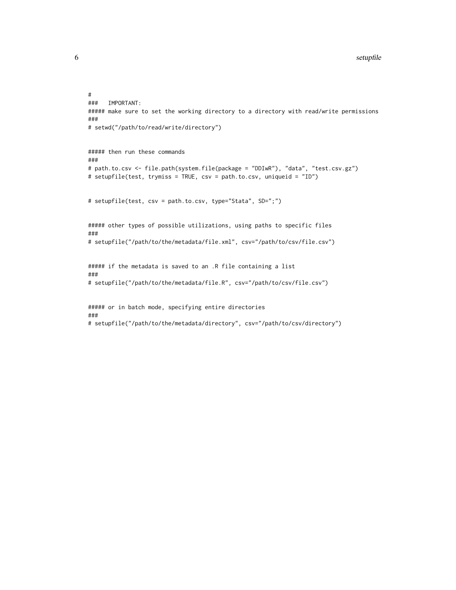```
#<br>###
     IMPORTANT:
##### make sure to set the working directory to a directory with read/write permissions
###
# setwd("/path/to/read/write/directory")
##### then run these commands
###
# path.to.csv <- file.path(system.file(package = "DDIwR"), "data", "test.csv.gz")
# setupfile(test, trymiss = TRUE, csv = path.to.csv, uniqueid = "ID")
# setupfile(test, csv = path.to.csv, type="Stata", SD=";")
##### other types of possible utilizations, using paths to specific files
###
# setupfile("/path/to/the/metadata/file.xml", csv="/path/to/csv/file.csv")
##### if the metadata is saved to an .R file containing a list
###
# setupfile("/path/to/the/metadata/file.R", csv="/path/to/csv/file.csv")
##### or in batch mode, specifying entire directories
###
# setupfile("/path/to/the/metadata/directory", csv="/path/to/csv/directory")
```